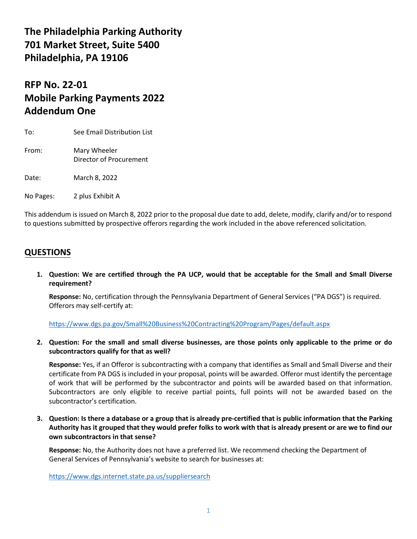# **The Philadelphia Parking Authority 701 Market Street, Suite 5400 Philadelphia, PA 19106**

# **RFP No. 22-01 Mobile Parking Payments 2022 Addendum One**

To: See Email Distribution List

From: Mary Wheeler Director of Procurement

Date: March 8, 2022

No Pages: 2 plus Exhibit A

This addendum is issued on March 8, 2022 prior to the proposal due date to add, delete, modify, clarify and/or to respond to questions submitted by prospective offerors regarding the work included in the above referenced solicitation.

### **QUESTIONS**

**1. Question: We are certified through the PA UCP, would that be acceptable for the Small and Small Diverse requirement?**

**Response:** No, certification through the Pennsylvania Department of General Services ("PA DGS") is required. Offerors may self-certify at:

<https://www.dgs.pa.gov/Small%20Business%20Contracting%20Program/Pages/default.aspx>

**2. Question: For the small and small diverse businesses, are those points only applicable to the prime or do subcontractors qualify for that as well?**

**Response:** Yes, if an Offeror is subcontracting with a company that identifies as Small and Small Diverse and their certificate from PA DGS is included in your proposal, points will be awarded. Offeror must identify the percentage of work that will be performed by the subcontractor and points will be awarded based on that information. Subcontractors are only eligible to receive partial points, full points will not be awarded based on the subcontractor's certification.

**3. Question: Is there a database or a group that is already pre-certified that is public information that the Parking Authority has it grouped that they would prefer folks to work with that is already present or are we to find our own subcontractors in that sense?**

**Response:** No, the Authority does not have a preferred list. We recommend checking the Department of General Services of Pennsylvania's website to search for businesses at:

<https://www.dgs.internet.state.pa.us/suppliersearch>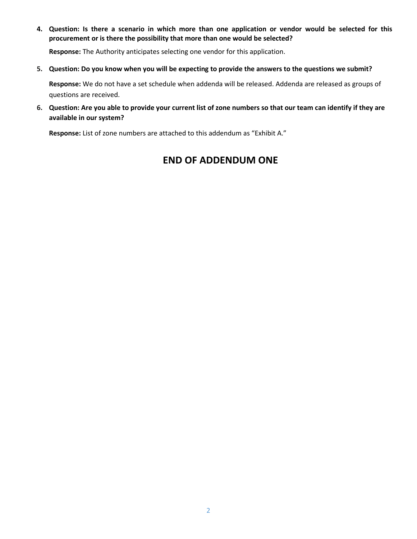**4. Question: Is there a scenario in which more than one application or vendor would be selected for this procurement or is there the possibility that more than one would be selected?**

**Response:** The Authority anticipates selecting one vendor for this application.

#### **5. Question: Do you know when you will be expecting to provide the answers to the questions we submit?**

**Response:** We do not have a set schedule when addenda will be released. Addenda are released as groups of questions are received.

**6. Question: Are you able to provide your current list of zone numbers so that our team can identify if they are available in our system?**

**Response:** List of zone numbers are attached to this addendum as "Exhibit A."

### **END OF ADDENDUM ONE**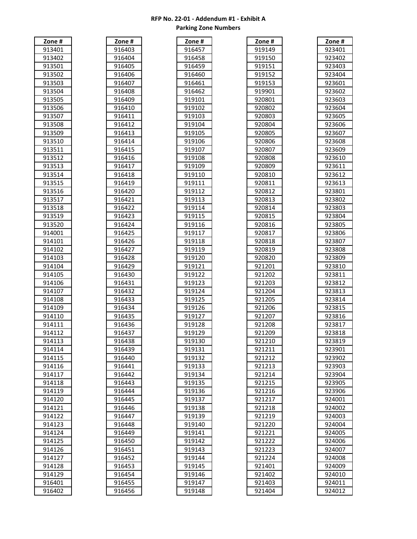| #<br>one                           |
|------------------------------------|
| ι<br>ĺ                             |
| C                                  |
| ,<br>1<br>ξ                        |
| ¢<br>Ŝ<br>1                        |
| ς<br>Ŝ<br>ı<br>,                   |
| C<br>Ŝ<br>ξ<br>ŀ                   |
|                                    |
| C<br>ľ<br>S<br>14                  |
| C<br>ľ<br>١1<br>S<br>(<br>J,       |
| C<br>ŗ<br>91<br>S<br>16<br>(       |
| Ç<br>ľ                             |
| Ŝ<br>91<br>17<br>(                 |
| Ç<br>Ŝ<br>ľ<br>) {<br>ξ<br>91<br>C |
| 91<br>l<br>ľ<br>19<br>ĺ            |
| 9:<br>l<br>I<br>0                  |
| I<br>C<br>Ŝ                        |
| 91<br>1                            |
| ľ<br>C<br>,<br>Ŝ<br>)1             |
| ľ<br>C<br>3<br>91<br>S             |
| ¢<br>ľ<br>Ŝ<br>)<br>1              |
| ι<br>ľ<br>C                        |
| Ŝ<br>1                             |
| ι<br>ľ<br>Ŝ<br>f<br>1<br>١         |
| ι<br>I<br>J                        |
| ¢<br>J<br>S<br>ı<br>Ş<br>ξ         |
| ¢<br>Ç<br>J<br>ı<br>J              |
| S                                  |
| ¢<br>)<br>Į<br>€<br>l              |
| ¢<br>)                             |
| ι<br>J                             |
| ¢<br>,<br>J                        |
|                                    |
| C<br>S<br>)                        |
| ι<br>1                             |
| ς<br>1                             |
| C<br>K                             |
| C                                  |
|                                    |
| C<br>Į<br>ξ                        |
| ¢<br>i<br>)<br>J<br>I              |
| ¢<br>(<br>J<br>)                   |
| ι<br>J                             |
|                                    |
| 9<br>,                             |
| q<br>1<br>1<br>1<br>₹<br>1         |
| 914114                             |
| 914115<br>,                        |
| 914116                             |
|                                    |
| 914117                             |
| 914118                             |
| 914119                             |
| 914120                             |
|                                    |
| 914121                             |
| 914122                             |
| 914123                             |
| 914124                             |
|                                    |
| 91412<br>25                        |
| 914126                             |
| 914127                             |
| 914128                             |
| 914129                             |
| 916401                             |
|                                    |
| 916402                             |

| Zone_#         |  |
|----------------|--|
| 916403         |  |
| 916404         |  |
|                |  |
| 916405         |  |
| 916406         |  |
| 916407         |  |
| 916408         |  |
| 916409         |  |
| 916410         |  |
| 916411         |  |
| 916412         |  |
|                |  |
| 916413         |  |
| 916414         |  |
| 916415         |  |
| 916416         |  |
| 916417         |  |
| 916418         |  |
| 916419         |  |
| 916420         |  |
| 916421         |  |
| 916422         |  |
|                |  |
| 916423         |  |
| _<br>16424     |  |
| 916425         |  |
| 916426         |  |
| 916427         |  |
| 916428         |  |
| 9164<br>29     |  |
| 91643<br>30    |  |
|                |  |
| 9164.<br>31    |  |
| 91643<br>32    |  |
| 916<br>5433    |  |
| 91 <u>6434</u> |  |
| 916435         |  |
| 916436         |  |
| 916437         |  |
| 916438         |  |
| 916439         |  |
|                |  |
| 916440         |  |
| 916441         |  |
| 916442         |  |
| 916443         |  |
| 916444         |  |
| 916445         |  |
| 916446         |  |
| 916447         |  |
| 91644 <u>8</u> |  |
|                |  |
| _<br>916449    |  |
| 916450         |  |
| 916451         |  |
| 91645<br>,     |  |
| 916453         |  |
| 91645<br>54    |  |
| 91645<br>Ş!    |  |
| 916456         |  |
|                |  |

| Zone #                  |  |
|-------------------------|--|
| 916457                  |  |
| 916458                  |  |
| 916459                  |  |
| 916460                  |  |
| 916461                  |  |
| 916<br>5462             |  |
| 91 <sup>c</sup><br>9101 |  |
| 919102                  |  |
| 919103                  |  |
| 919104                  |  |
| 919105                  |  |
| 919106                  |  |
| 919107                  |  |
| 919108                  |  |
| 919109                  |  |
| 919110                  |  |
| 919111                  |  |
| 919112                  |  |
| 919113                  |  |
| 919114                  |  |
| 919115                  |  |
| 919116                  |  |
| 919117                  |  |
| 919118                  |  |
| 919119                  |  |
|                         |  |
| 919120                  |  |
| 919121                  |  |
| 919122                  |  |
| 919123                  |  |
| 9191<br>24              |  |
| 919125                  |  |
| 9191<br>26              |  |
| 919127                  |  |
| 919128                  |  |
| 919129                  |  |
| 919130                  |  |
| 919131                  |  |
| C<br>919132             |  |
| 919133                  |  |
| 919134                  |  |
| 919135                  |  |
| 919136                  |  |
| 919137                  |  |
| 919138                  |  |
| 919139                  |  |
| 919140                  |  |
| 919141                  |  |
| 919142                  |  |
| $\overline{919143}$     |  |
| $\overline{919}$ 144    |  |
| 919145                  |  |
| 919146                  |  |
| 919147                  |  |
| 919148                  |  |

| Zone#            | Zone #           | Zone#            | Zone#            | Zone #           |
|------------------|------------------|------------------|------------------|------------------|
| 913401           | 916403           | 916457           | 919149           | 923401           |
| 913402           | 916404           | 916458           | 919150           | 923402           |
| 913501           | 916405           | 916459           | 919151           | 923403           |
| 913502           | 916406           | 916460           | 919152           | 923404           |
| 913503           | 916407           | 916461           | 919153           | 923601           |
| 913504           | 916408           | 916462           | 919901           | 923602           |
| 913505           | 916409           | 919101           | 920801           | 923603           |
| 913506           | 916410           | 919102           | 920802           | 923604           |
| 913507           | 916411           | 919103           | 920803           | 923605           |
| 913508           | 916412           | 919104           | 920804           | 923606           |
| 913509           | 916413           | 919105           | 920805           | 923607           |
| 913510           | 916414           | 919106           | 920806           | 923608           |
| 913511           | 916415           | 919107           | 920807           | 923609           |
| 913512           | 916416           | 919108           | 920808           | 923610           |
| 913513           | 916417           | 919109           | 920809           | 923611           |
| 913514           | 916418           | 919110           | 920810           | 923612           |
| 913515           | 916419           | 919111           | 920811           | 923613           |
| 913516           | 916420           | 919112           | 920812           | 923801           |
| 913517           | 916421           | 919113           | 920813           | 923802           |
| 913518           | 916422           | 919114           | 920814           | 923803           |
| 913519           | 916423           | 919115           | 920815           | 923804           |
| 913520           | 916424           | 919116           | 920816           | 923805           |
| 914001           | 916425           | 919117           | 920817           | 923806           |
| 914101           | 916426           | 919118           | 920818           | 923807           |
| 914102           | 916427           | 919119           | 920819           | 923808           |
| 914103           | 916428           | 919120           | 920820           | 923809           |
| 914104           | 916429           | 919121           | 921201           | 923810           |
| 914105           | 916430           | 919122           | 921202           | 923811           |
| 914106           | 916431           | 919123           | 921203           | 923812           |
| 914107           | 916432           | 919124           | 921204           | 923813           |
| 914108           | 916433           | 919125           | 921205           | 923814           |
| 914109           | 916434           | 919126           | 921206           | 923815           |
| 914110           | 916435           | 919127           | 921207           | 923816           |
| 914111           | 916436           | 919128           | 921208           | 923817           |
| 914112           | 916437           | 919129           | 921209           | 923818           |
| 914113           | 916438           | 919130           | 921210           | 923819           |
| 914114           | 916439           | 919131           | 921211           | 923901           |
| 914115           | 916440           | 919132           | 921212           | 923902           |
| 914116           | 916441           | 919133           | 921213           | 923903           |
| 914117           | 916442           | 919134           | 921214           | 923904           |
| 914118           | 916443           | 919135           | 921215           | 923905           |
| 914119           | 916444           | 919136           | 921216           | 923906           |
| 914120           | 916445           | 919137           | 921217           | 924001           |
| 914121           | 916446           | 919138           | 921218           | 924002           |
| 914122           | 916447           | 919139           | 921219           | 924003           |
| 914123           | 916448           | 919140           | 921220           | 924004           |
| 914124<br>914125 | 916449           | 919141           | 921221           | 924005           |
|                  | 916450           | 919142<br>919143 | 921222<br>921223 | 924006           |
| 914126<br>914127 | 916451<br>916452 | 919144           | 921224           | 924007<br>924008 |
| 914128           | 916453           | 919145           | 921401           | 924009           |
| 914129           | 916454           | 919146           | 921402           | 924010           |
| 916401           | 916455           | 919147           | 921403           | 924011           |
| 916402           | 916456           | 919148           | 921404           | 924012           |
|                  |                  |                  |                  |                  |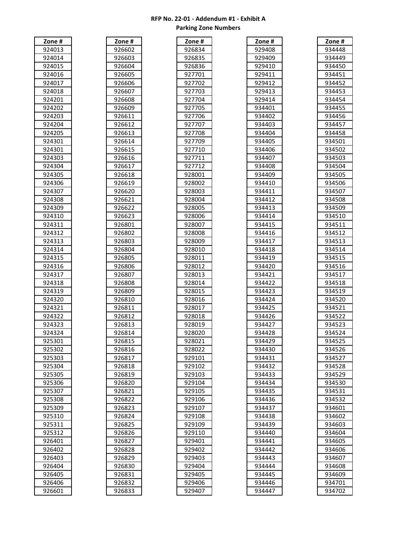| #<br>ne                |
|------------------------|
| ¢                      |
| Ç                      |
|                        |
| ς                      |
| $\mathbf$<br>f         |
| C                      |
|                        |
| Ç<br>Ş<br>ζ            |
| C<br>11                |
| Ç<br>J<br>,            |
| ¢<br>3<br>J            |
|                        |
| ¢<br>)4<br>J           |
| ¢<br>)!<br>J<br>ſ      |
| ¢<br>J<br>ξ            |
| C<br>J<br>11<br>(      |
|                        |
| ¢<br>3<br>)<br>S<br>). |
| ς<br>J<br>S<br>14      |
| ς<br>)!<br>S           |
| ¢<br>ξ<br>ĺ            |
|                        |
| ¢<br>ξ                 |
| ι                      |
| ¢<br>١<br>,            |
| ¢<br>(<br>)            |
|                        |
| ¢<br>1                 |
|                        |
| ¢<br>ξ                 |
| O<br>1                 |
|                        |
| ¢<br>í                 |
| ¢                      |
| ¢                      |
| Ç<br>ζ                 |
| ¢<br>ι                 |
|                        |
| ¢<br>ĺ                 |
| ¢                      |
| ¢<br>,                 |
| Ç<br>ξ                 |
|                        |
| ¢<br>ξ<br>4<br>J       |
| g<br>,<br>I<br>3<br>1  |
| 925302                 |
| 925<br>5303            |
|                        |
| 925<br>304<br>5.       |
| 925305                 |
| 925<br>5306            |
| 925307                 |
|                        |
| 925308                 |
| 925309                 |
| 925310                 |
| 925311                 |
|                        |
| 925312                 |
| 926401                 |
| 926402                 |
| 926403                 |
| 926404                 |
|                        |
|                        |
| 926405                 |
| 926406                 |

| Zone #                                      |  |
|---------------------------------------------|--|
| 926602                                      |  |
| 9.<br>26603                                 |  |
| C<br>926<br>604                             |  |
| 926<br>505<br>56                            |  |
| 9<br>26<br>56<br>506                        |  |
| 926607                                      |  |
| 926608                                      |  |
| 926609                                      |  |
| $\mathbf$<br>926611                         |  |
| 926612                                      |  |
| 926613                                      |  |
| 926614                                      |  |
| 926615                                      |  |
| 926616                                      |  |
| 926617                                      |  |
| 926618                                      |  |
| 926619                                      |  |
| 926620                                      |  |
| 926621                                      |  |
| 926622                                      |  |
| 926623                                      |  |
| 926<br>801ء                                 |  |
| 926<br>802ء                                 |  |
| g;<br>26<br>5803                            |  |
| 926804                                      |  |
| q<br>580!<br>26<br>j                        |  |
| q;<br>76<br>δŚ<br>306                       |  |
| 926<br>S۶<br>307                            |  |
| q.<br>26<br>S٤<br>308                       |  |
| 9<br>21<br>80<br>)9                         |  |
| 9.<br>26<br>810,                            |  |
| $\mathbf$<br>)2(<br>){<br>ζ<br>1<br>1       |  |
| $\ddot{\Omega}$<br>92<br>){<br>12<br>ζ<br>f |  |
| 926<br>۶٤<br>31.<br>ξ                       |  |
| 926814                                      |  |
| 926<br>28∶<br>L!                            |  |
| 926816                                      |  |
| 92681                                       |  |
| 926818                                      |  |
| 926<br>581<br>9                             |  |
| 926<br>820ء                                 |  |
| 926<br>82<br>1                              |  |
| 9268<br>S.                                  |  |
| $\overline{9268}$<br>2<br>3                 |  |
| 9268<br>24                                  |  |
| 926<br>58.<br>ን ፣                           |  |
| 926<br>S٤<br>326<br>j                       |  |
| ٥.<br>26<br>58<br>,                         |  |
| 926<br>28<br>){<br>ζ                        |  |
| $\mathbf$<br>J.<br>26<br>δŚ<br>x<br>J<br>ζ  |  |
| $\mathbf$<br>)<br>26<br>۶٤<br>30<br>ζ       |  |
| 926<br>S٤<br>Ŝ<br>31                        |  |
| 9<br>۶Ś<br>26<br>3.<br>S.<br>2              |  |
| 92683                                       |  |
| 33                                          |  |

| #<br>Zone                                  |  |
|--------------------------------------------|--|
| O<br>)2(<br>S<br>۵4<br>ς.                  |  |
| ι<br>}!<br>€<br>,<br>٤<br>₹<br>f           |  |
| ι<br>۱<br>,<br>Ş<br>ξ<br>36<br>f<br>J<br>Ć |  |
| ι<br>۱<br>,<br>)1<br>70                    |  |
| ¢<br>,<br>,<br>)<br>).<br>ĺ                |  |
| ¢<br>)<br>,<br>ξ<br>(<br>).                |  |
| ¢<br>)<br>,<br>Ώ4                          |  |
| ι<br>,<br>ا (<br>ï<br>Ί                    |  |
|                                            |  |
| ι<br>)<br>JЕ<br>(<br>)                     |  |
| ¢<br>)<br>)<br>(                           |  |
| ¢<br>)<br>,<br>)8<br>ξ<br>C                |  |
| ¢<br>)(<br>)<br>,<br>J<br>'(               |  |
| ¢<br>۱<br>1<br>0                           |  |
| C<br>J<br>,<br>ı<br>1                      |  |
| 9<br>,<br>,                                |  |
| ٩.<br>,<br>8<br>101<br>(                   |  |
| ٩2<br>12<br>,<br>80<br>Ιſ                  |  |
| C<br>32<br>103<br>30<br>5                  |  |
| 92<br>የ004<br>۶                            |  |
| 92<br>)5                                   |  |
| 3C<br>۶<br>)C                              |  |
| 92<br>ş<br>30<br>16<br>) (                 |  |
| 92<br>ξ<br>30<br>)7<br>X                   |  |
| O<br>).<br>2<br>ξ<br>30<br>х<br>18         |  |
| ι<br>300 <sup>.</sup><br>92<br>ξ<br>J      |  |
| ι<br>72<br>å<br>3010                       |  |
| ٩<br>301<br>,<br>٤<br>1                    |  |
| ٩<br>,<br>,<br>ξ<br>301                    |  |
| ٩.<br>2<br>٤<br>301<br>3                   |  |
| ¢<br>)<br>,<br>30<br>ξ<br>)1<br>1          |  |
| C<br>ι<br>,<br>)<br>۶<br>30<br>):<br>١     |  |
| Ç<br>,<br>٤<br>301<br>)<br>l<br>j          |  |
| ι<br>7<br>ï<br>,<br>۶                      |  |
| 30<br>۱                                    |  |
| ι<br>ï<br>,<br>3C<br>ξ                     |  |
| ι<br>ι<br>)<br>30<br>)<br>)<br>1           |  |
| ¢<br>)28<br>3020<br>)                      |  |
| Ó<br>€<br>280<br>$^{21}$<br>).             |  |
| 928022                                     |  |
| 929101                                     |  |
| 929102                                     |  |
| 929103                                     |  |
| 929104                                     |  |
| 929105                                     |  |
|                                            |  |
| 929106                                     |  |
| 929107                                     |  |
| 929108                                     |  |
| 929109                                     |  |
| 929110                                     |  |
| 929401                                     |  |
| 929402                                     |  |
| 929403                                     |  |
| 929404                                     |  |
| 929405                                     |  |
|                                            |  |
| 9,<br>29406<br>J                           |  |
| 929407<br>$\mathbf$                        |  |

| Zone#  | Zone # | Zone#  | Zone#  | Zone#  |
|--------|--------|--------|--------|--------|
| 924013 | 926602 | 926834 | 929408 | 934448 |
| 924014 | 926603 | 926835 | 929409 | 934449 |
| 924015 | 926604 | 926836 | 929410 | 934450 |
| 924016 | 926605 | 927701 | 929411 | 934451 |
| 924017 | 926606 | 927702 | 929412 | 934452 |
| 924018 | 926607 | 927703 | 929413 | 934453 |
| 924201 | 926608 | 927704 | 929414 | 934454 |
| 924202 | 926609 | 927705 | 934401 | 934455 |
| 924203 | 926611 | 927706 | 934402 | 934456 |
| 924204 | 926612 | 927707 | 934403 | 934457 |
| 924205 | 926613 | 927708 | 934404 | 934458 |
| 924301 | 926614 | 927709 | 934405 | 934501 |
| 924301 | 926615 | 927710 | 934406 | 934502 |
| 924303 | 926616 | 927711 | 934407 | 934503 |
| 924304 | 926617 | 927712 | 934408 | 934504 |
| 924305 | 926618 | 928001 | 934409 | 934505 |
| 924306 | 926619 | 928002 | 934410 | 934506 |
| 924307 | 926620 | 928003 | 934411 | 934507 |
| 924308 | 926621 | 928004 | 934412 | 934508 |
| 924309 | 926622 | 928005 | 934413 | 934509 |
| 924310 | 926623 | 928006 | 934414 | 934510 |
| 924311 | 926801 | 928007 | 934415 | 934511 |
| 924312 | 926802 | 928008 | 934416 | 934512 |
| 924313 | 926803 | 928009 | 934417 | 934513 |
| 924314 | 926804 | 928010 | 934418 | 934514 |
| 924315 | 926805 | 928011 | 934419 | 934515 |
| 924316 | 926806 | 928012 | 934420 | 934516 |
| 924317 | 926807 | 928013 | 934421 | 934517 |
| 924318 | 926808 | 928014 | 934422 | 934518 |
| 924319 | 926809 | 928015 | 934423 | 934519 |
| 924320 | 926810 | 928016 | 934424 | 934520 |
| 924321 | 926811 | 928017 | 934425 | 934521 |
| 924322 | 926812 | 928018 | 934426 | 934522 |
| 924323 | 926813 | 928019 | 934427 | 934523 |
| 924324 | 926814 | 928020 | 934428 | 934524 |
| 925301 | 926815 | 928021 | 934429 | 934525 |
| 925302 | 926816 | 928022 | 934430 | 934526 |
| 925303 | 926817 | 929101 | 934431 | 934527 |
| 925304 | 926818 | 929102 | 934432 | 934528 |
| 925305 | 926819 | 929103 | 934433 | 934529 |
| 925306 | 926820 | 929104 | 934434 | 934530 |
| 925307 | 926821 | 929105 | 934435 | 934531 |
| 925308 | 926822 | 929106 | 934436 | 934532 |
| 925309 | 926823 | 929107 | 934437 | 934601 |
| 925310 | 926824 | 929108 | 934438 | 934602 |
| 925311 | 926825 | 929109 | 934439 | 934603 |
| 925312 | 926826 | 929110 | 934440 | 934604 |
| 926401 | 926827 | 929401 | 934441 | 934605 |
| 926402 | 926828 | 929402 | 934442 | 934606 |
| 926403 | 926829 | 929403 | 934443 | 934607 |
| 926404 | 926830 | 929404 | 934444 | 934608 |
| 926405 | 926831 | 929405 | 934445 | 934609 |
| 926406 | 926832 | 929406 | 934446 | 934701 |
| 926601 | 926833 | 929407 | 934447 | 934702 |

| Zone#  |  |
|--------|--|
| 934448 |  |
| 934449 |  |
| 934450 |  |
| 934451 |  |
| 934452 |  |
| 934453 |  |
| 934454 |  |
| 934455 |  |
| 934456 |  |
| 934457 |  |
| 934458 |  |
| 934501 |  |
| 934502 |  |
| 934503 |  |
| 934504 |  |
| 934505 |  |
| 934506 |  |
| 934507 |  |
| 934508 |  |
| 934509 |  |
| 934510 |  |
| 934511 |  |
| 934512 |  |
| 934513 |  |
| 934514 |  |
| 934515 |  |
| 934516 |  |
| 934517 |  |
| 934518 |  |
| 934519 |  |
| 934520 |  |
| 934521 |  |
| 934522 |  |
| 934523 |  |
| 934524 |  |
| 934525 |  |
| 934526 |  |
| 934527 |  |
| 934528 |  |
| 934529 |  |
| 934530 |  |
| 934531 |  |
| 934532 |  |
| 934601 |  |
| 934602 |  |
| 934603 |  |
| 934604 |  |
| 934605 |  |
| 934606 |  |
| 934607 |  |
| 934608 |  |
| 934609 |  |
| 934701 |  |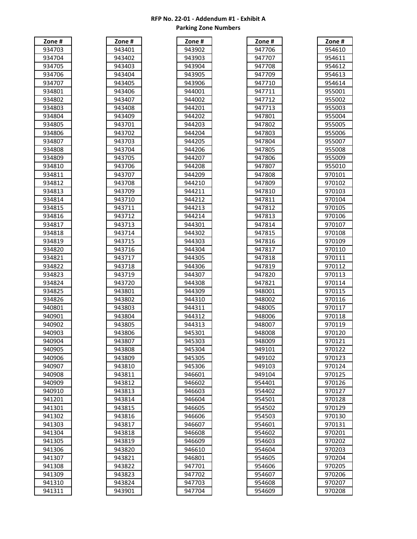| Zone<br>#                          |
|------------------------------------|
| C<br>ξ                             |
| ι<br>(                             |
| ι<br>1<br>S<br>(                   |
| C                                  |
| ξ<br>J                             |
| ς                                  |
| C                                  |
| C<br>١<br>ι<br>,                   |
| C<br>3<br>۱.<br>J.                 |
| ι<br>)<br>14<br>S<br>δ<br>30       |
| ι<br>J<br>S<br>Ş<br>)!<br>30       |
| ι<br>J<br>š.<br>Ş<br>306           |
| ι<br>Ş<br>J<br>Ŝ<br>30<br>1        |
| C<br>J<br>)8<br>ξ<br>Ş<br>st       |
| ι<br>9<br>)<br>ξ                   |
| C<br>)<br>ĺ<br>)                   |
| C<br>)<br>l<br>ξ<br>l              |
| ι<br>,<br>)<br>ξ<br>۶<br>ζ         |
| ς<br>S<br>)<br>S                   |
| ι                                  |
| 1                                  |
| ι<br>Ľ<br>1                        |
| C<br>1<br>t<br>)                   |
| ¢<br>J<br>S                        |
| ι<br>۶<br>ξ<br>)<br>ξ              |
| ι<br>۶<br>$\mathbf$<br>)<br>ζ<br>J |
| ι<br>)<br>0                        |
| ι<br>J                             |
| ι<br>,<br>1                        |
| C<br>1<br>S<br>í                   |
| ¢                                  |
| ς<br>1                             |
| ι                                  |
| ι                                  |
| ι<br>Ç                             |
| ¢<br>I<br>,                        |
|                                    |
| ¢<br>S<br>ſ<br>)<br>(<br>л<br>J    |
| ¢<br>ł<br>O٤<br>эc<br>l            |
| 940905                             |
| 940906                             |
| 940907                             |
| 940908                             |
| 940909                             |
| 940910                             |
| 941201                             |
| 941301                             |
| 941302                             |
| 941303                             |
| 941304                             |
|                                    |
| 941305                             |
| 941306                             |
| 941307                             |
| 941308                             |
| 941309                             |
| 941310                             |
| 941311                             |

| Zone #                      |  |
|-----------------------------|--|
| 943401                      |  |
| 943402                      |  |
| 943403                      |  |
| 943404                      |  |
| 943405                      |  |
| 943406                      |  |
| 943407                      |  |
|                             |  |
| 943408                      |  |
| 943409                      |  |
| 943701                      |  |
| 943702                      |  |
| 943703                      |  |
| 943704                      |  |
| 943705                      |  |
| 943706                      |  |
| 943707                      |  |
| 943708                      |  |
| 943709                      |  |
| 943710                      |  |
| 943<br>711                  |  |
| $\overline{71}$<br>943<br>, |  |
| 943<br>713                  |  |
| 943<br><u>714</u>           |  |
| 943<br>715                  |  |
| 943716                      |  |
|                             |  |
| 943717<br>943718            |  |
|                             |  |
| 943719                      |  |
| 943720                      |  |
| 943801                      |  |
| 943802                      |  |
| 943803                      |  |
| 943804                      |  |
| 943805                      |  |
| 943806                      |  |
| 943807                      |  |
| 943808                      |  |
| 943809                      |  |
| 943810                      |  |
| 943811                      |  |
| 943812                      |  |
| 943813                      |  |
| 943814                      |  |
| 943815                      |  |
| 943816                      |  |
| 943817                      |  |
| 943818                      |  |
| 943819                      |  |
|                             |  |
| 943820                      |  |
| 943821                      |  |
| 943822                      |  |
| 943823                      |  |
| 943824                      |  |
| 943901                      |  |

| Zone #                |  |
|-----------------------|--|
| ι<br>41<br>3902       |  |
| 943<br>3903           |  |
| 943<br>3904           |  |
| 94.<br>3905           |  |
| C<br>41<br>ζĆ<br>906  |  |
| C                     |  |
| 944001<br>ι           |  |
| 944002                |  |
| C<br>944201           |  |
| C<br>)442(<br>).      |  |
| ι<br>)4420:<br>ξ      |  |
| ¢<br>94420<br>)4      |  |
| ι<br>205<br>344.      |  |
| ι<br>944206           |  |
| 9442<br>207           |  |
| 944:<br>208           |  |
| 944209                |  |
| 944210                |  |
| 944211                |  |
|                       |  |
| 944212                |  |
| 944213                |  |
| 944214                |  |
| 944301                |  |
| C<br>302<br>)443      |  |
| 944303                |  |
| 9443<br>304           |  |
| 9443<br>305           |  |
| 9443<br>306<br>Ć      |  |
| 9443<br>307           |  |
| O<br>44:              |  |
| 308<br>ζ<br>C         |  |
| 309<br>44 (<br>J      |  |
| ς<br>944<br>310       |  |
| 944<br>ξ<br>11        |  |
| 944<br>2<br>ξ<br>1    |  |
| C<br>44:<br>31.<br>ξ  |  |
| ¢<br>)45<br>301<br>5. |  |
| Ó<br>14<br>303<br>3   |  |
| 945304                |  |
| 945305                |  |
| 945306                |  |
|                       |  |
| 946601                |  |
| 946602                |  |
| 946603                |  |
| 946604                |  |
| 946605                |  |
| 946606                |  |
| 946607                |  |
| 946608                |  |
| 946609                |  |
| 946610                |  |
|                       |  |
| 946801                |  |
| 947<br>701            |  |
| 947<br>702            |  |
| 947703                |  |
| 947704                |  |

| Zone #           | Zone #           | Zone#            | Zone#            | Zone#            |
|------------------|------------------|------------------|------------------|------------------|
| 934703           | 943401           | 943902           | 947706           | 954610           |
| 934704           | 943402           | 943903           | 947707           | 954611           |
| 934705           | 943403           | 943904           | 947708           | 954612           |
| 934706           | 943404           | 943905           | 947709           | 954613           |
| 934707           | 943405           | 943906           | 947710           | 954614           |
| 934801           | 943406           | 944001           | 947711           | 955001           |
| 934802           | 943407           | 944002           | 947712           | 955002           |
| 934803           | 943408           | 944201           | 947713           | 955003           |
| 934804           | 943409           | 944202           | 947801           | 955004           |
| 934805           | 943701           | 944203           | 947802           | 955005           |
| 934806           | 943702           | 944204           | 947803           | 955006           |
| 934807           | 943703           | 944205           | 947804           | 955007           |
| 934808           | 943704           | 944206           | 947805           | 955008           |
| 934809           | 943705           | 944207           | 947806           | 955009           |
| 934810           | 943706           | 944208           | 947807           | 955010           |
| 934811           | 943707           | 944209           | 947808           | 970101           |
| 934812           | 943708           | 944210           | 947809           | 970102           |
| 934813           | 943709           | 944211           | 947810           | 970103           |
| 934814           | 943710           | 944212           | 947811           | 970104           |
| 934815           | 943711           | 944213           | 947812           | 970105           |
| 934816           | 943712           | 944214           | 947813           | 970106           |
| 934817           | 943713           | 944301           | 947814           | 970107           |
| 934818           | 943714           | 944302           | 947815           | 970108           |
| 934819           | 943715           | 944303           | 947816           | 970109           |
| 934820           | 943716           | 944304           | 947817           | 970110           |
| 934821           | 943717           | 944305           | 947818           | 970111           |
| 934822           | 943718           | 944306           | 947819           | 970112           |
| 934823           | 943719           | 944307           | 947820           | 970113           |
| 934824           | 943720           | 944308           | 947821           | 970114           |
| 934825           | 943801           | 944309           | 948001           | 970115           |
| 934826           | 943802           | 944310           | 948002           | 970116           |
| 940801           | 943803           | 944311           | 948005           | 970117           |
| 940901           | 943804           | 944312           | 948006           | 970118           |
| 940902           | 943805           | 944313           | 948007           | 970119           |
| 940903           | 943806           | 945301           | 948008           | 970120           |
| 940904           | 943807           | 945303           | 948009           | 970121           |
| 940905           | 943808           | 945304           | 949101           | 970122           |
| 940906           | 943809           | 945305           | 949102           | 970123           |
| 940907           | 943810           | 945306           | 949103           | 970124           |
| 940908<br>940909 | 943811<br>943812 | 946601<br>946602 | 949104<br>954401 | 970125<br>970126 |
| 940910           | 943813           | 946603           | 954402           | 970127           |
| 941201           | 943814           | 946604           | 954501           | 970128           |
| 941301           | 943815           | 946605           | 954502           | 970129           |
| 941302           | 943816           | 946606           | 954503           | 970130           |
| 941303           | 943817           | 946607           | 954601           | 970131           |
| 941304           | 943818           | 946608           | 954602           | 970201           |
| 941305           | 943819           | 946609           | 954603           | 970202           |
| 941306           | 943820           | 946610           | 954604           | 970203           |
| 941307           | 943821           | 946801           | 954605           | 970204           |
| 941308           | 943822           | 947701           | 954606           | 970205           |
| 941309           | 943823           | 947702           | 954607           | 970206           |
| 941310           | 943824           | 947703           | 954608           | 970207           |
| 941311           | 943901           | 947704           | 954609           | 970208           |
|                  |                  |                  |                  |                  |

| #<br>۱e<br>Οľ                           |
|-----------------------------------------|
| C<br>י<br>)<br>61(                      |
| C<br>ינ<br>1                            |
| C<br>ינ<br>,                            |
| C<br>ינ<br>ξ                            |
| C<br>ינ<br>1                            |
| C<br>ļľ<br>)1<br>(<br>ĸ                 |
| C<br>١ŗ<br>ľ<br>2<br>(<br>)U.<br>,      |
| C<br>)r<br>ľ<br>)03<br>,<br>C           |
| C<br>ינ<br>ľ<br>004                     |
| C<br>ינ<br>ľ<br>)O!<br>C                |
| ٩ŗ<br>ľ<br>5<br>)O6<br>ι                |
| ٩ľ<br>ľ<br>17<br>K<br>ſ                 |
| ٩ŗ<br>ľ<br>)08                          |
| C<br>)!<br>ľ                            |
| <u>)(</u><br>Х<br>J                     |
| C<br>)!<br>l<br>10                      |
| 9<br>01<br>ſ                            |
| C<br>,<br>J<br>ı                        |
| C<br>J<br>ξ                             |
| C<br>)<br>I<br>4                        |
| ¢<br>J<br>ļ<br>C                        |
| ¢<br>J<br>I<br>K<br>J                   |
| ¢<br>)<br>C                             |
| 9<br>18<br>(                            |
| 9<br>9                                  |
| 9<br>O                                  |
| 9<br>1                                  |
| C<br>J<br>,                             |
| C                                       |
| Ŝ<br>J                                  |
| 9<br>4                                  |
| 9                                       |
| 9<br>1<br>6<br>l                        |
| Ç<br>J<br>(<br>1<br>7                   |
| Ç<br>8<br>J<br>1                        |
| Ç<br>$\mathbf$<br>€<br>J<br>1<br>(<br>J |
| 9<br>20<br>70<br>)                      |
| 970121                                  |
| $\frac{97012}{ }$<br>7                  |
| 9701<br>:ر<br>3                         |
| 9701<br>24                              |
| 9701<br>25                              |
| 9701<br>26                              |
| 9701<br>27                              |
|                                         |
| d.<br>701.<br>28                        |
| 9,<br>29<br>7012                        |
| 970130                                  |
| 970131                                  |
| 970201                                  |
| 970202                                  |
| 970203                                  |
| 970204                                  |
| 970205                                  |
| 970206                                  |
| 970207                                  |
| 970208                                  |
|                                         |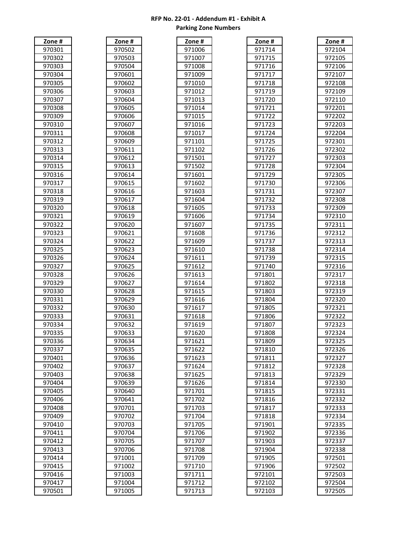| Zone<br>#                                         |
|---------------------------------------------------|
| ¢                                                 |
| ¢<br>30<br>,                                      |
| ¢<br>J                                            |
| $\mathbf$<br>)<br>l                               |
| Ç<br>)<br>S                                       |
| $\mathbf$<br>S                                    |
| $\mathbf$<br>30                                   |
| C<br>18<br>S                                      |
| C<br>)S<br>(<br>30<br>J                           |
| 9<br>10<br>Ί<br>).<br>5                           |
| $\mathbf \epsilon$<br>ヲ<br>Ί<br>S<br>1<br>1<br>). |
| $\mathbf$<br>J<br>70<br>):<br>S<br>2<br>1         |
| $\mathbf$<br>J<br>Ŝ<br>3                          |
| 70.<br>1<br>$\mathbf$<br>ξ<br>J                   |
| 4<br>C<br>)<br>1<br>$\mathbf$<br>l                |
| )<br>ξ<br>C<br>1<br>J<br>$\mathbf \epsilon$       |
| )<br>ξ<br>(<br>Е<br>1<br>1<br>J                   |
| ¢<br>J<br>S<br>7<br>(<br>)                        |
| Ç<br>٤<br>J<br>(<br>Ŝ<br>3<br>J                   |
| $\mathbf$<br>9<br>ξ<br>)<br>ſ                     |
| $\mathbf$<br>Ŝ<br>0<br>)<br>(                     |
| ¢<br>1<br>1<br>S                                  |
| ι<br>(<br>J                                       |
| ¢<br>)<br>S<br>}                                  |
| Ç<br>J<br>S<br>ļ                                  |
| $\mathbf$<br>)<br>ξ                               |
| $\mathbf$<br>ξ<br>)                               |
| $\mathbf$<br>)<br>ξ                               |
| $\mathbf$<br>٤<br>,<br>ξ<br>J                     |
| ¢<br>$\mathbf$<br>S<br>J                          |
| Ç<br>S<br>S<br>J                                  |
| $\mathbf$<br>ļ<br>ξ                               |
| $\mathbf$<br>ļ<br>₹<br>,                          |
| C<br>3<br>S<br>ξ                                  |
| $\mathbf$<br>4<br>I                               |
| $\mathbf$<br>ŗ<br>S<br>S<br>J<br>(<br>J.          |
| ι<br>١<br>≀<br>70                                 |
| 970337                                            |
| 970401                                            |
| 970402                                            |
| 970403                                            |
| 970404                                            |
| 970405<br>5                                       |
| 970406                                            |
| 970408                                            |
| 970409                                            |
| 970410                                            |
| 970411                                            |
|                                                   |
| 970412                                            |
| 970413                                            |
| 970414                                            |
| 970415                                            |
| 970416                                            |
| 970417                                            |
| 970501                                            |

| Zone #                                                  |  |
|---------------------------------------------------------|--|
| 970502                                                  |  |
| Ç<br>970<br>)5(<br>)3                                   |  |
| $\ddot{\cdot}$<br>€<br>70504                            |  |
| $\ddot{\Omega}$<br>€<br>70601                           |  |
| 9<br>,<br>50.<br>706                                    |  |
| 9<br>)3<br>)6(<br>70                                    |  |
| C<br>١<br>)6(<br>)4<br>70                               |  |
| $\mathbf$<br>J                                          |  |
| 0!<br>)6<br>Ί<br>j<br>Ç                                 |  |
| J<br>706<br>506                                         |  |
| $\mathbf$<br>J<br>70607                                 |  |
| 9<br>508<br>70F                                         |  |
| 9<br>70609                                              |  |
| $\mathbf$<br>€<br>'061<br>1                             |  |
| í<br>ì<br>J<br>JЕ<br>Ί<br>ĺ.<br>)<br>1                  |  |
| $\overline{\mathbf{C}}$<br>J<br>)6<br>3<br>′(<br>1<br>) |  |
| $\mathbf$<br>€<br>706<br>4<br>1<br>J                    |  |
| 9<br>I<br>ſ<br>)(<br>5<br>'n.<br>1                      |  |
| 9<br>) (<br>Е<br>C<br>D.<br>J                           |  |
| 9<br>$\overline{1}$<br>)6:<br>C<br>1                    |  |
| 9<br>8<br>)F<br>1<br>ſ<br>í<br>J                        |  |
| 9<br>q<br>)6<br>1<br>ſ                                  |  |
| ٩<br>20<br>706<br>J                                     |  |
| 9<br>1                                                  |  |
| 'Ot                                                     |  |
| 9<br>2<br>2<br>Oθ<br>J                                  |  |
| g <sup>.</sup><br>23<br>Όť<br>J.                        |  |
| 9<br>JЕ<br>24<br>′(<br>J                                |  |
| 9<br>5<br>)6<br>7<br>)                                  |  |
| $\ddot{\mathbf{c}}$<br>J<br>706<br>26<br>J              |  |
| 9<br>7<br>,<br>Ί<br>)(                                  |  |
| 9<br>28<br>)(<br>l                                      |  |
| 9<br>x<br>J<br>)6<br>I<br>j                             |  |
| $\mathbf$<br>)<br>)(<br>30<br>)<br>I                    |  |
| $\mathbf$<br>ϡ<br>16<br>Ŝ<br>1<br>ı                     |  |
| C<br>€<br>706<br>Ŝ<br>,                                 |  |
| 9<br>706<br>ξ<br>ξ<br>Î                                 |  |
| I<br>J<br>ь.<br>52                                      |  |
| $\overline{9}$<br>70635                                 |  |
| $\mathbf$                                               |  |
| J,<br>706:<br>36<br>$\overline{\mathbf{C}}$             |  |
| 37<br>)6:<br>37<br>′(                                   |  |
| $\ddot{\mathbf{c}}$<br>9706:<br>38<br>ξ                 |  |
| 9<br>706<br>39<br>j.                                    |  |
| 9<br>40<br>706                                          |  |
| 97<br>70641                                             |  |
| 9.<br>70701                                             |  |
| 9<br>0702                                               |  |
| 970703                                                  |  |
| 970704                                                  |  |
| 970705                                                  |  |
| 970706                                                  |  |
| 97<br>10<br>)01                                         |  |
| 97<br>1002                                              |  |
| 971003<br>3                                             |  |
| 97<br>1004                                              |  |
| 971005                                                  |  |

| Zone #         |  |
|----------------|--|
| 971006         |  |
|                |  |
| 971007         |  |
| 971008         |  |
| 971009         |  |
| 971010         |  |
| 971012         |  |
|                |  |
| 971013         |  |
| 971014         |  |
| 971015         |  |
| 971016         |  |
| 971017         |  |
| 971101         |  |
|                |  |
| 971102         |  |
| 971501         |  |
| 971502         |  |
| 971601         |  |
| 971602         |  |
|                |  |
| 971603         |  |
| 971604         |  |
| 971605         |  |
| 971606         |  |
| 971607         |  |
| 971608         |  |
|                |  |
| 971609         |  |
| 971610         |  |
| 971611         |  |
| 971612         |  |
| 971613         |  |
|                |  |
| 971614         |  |
| 971615         |  |
| 971616         |  |
| 971617         |  |
| 618<br>971     |  |
| 971619         |  |
| 971620         |  |
|                |  |
| 971621         |  |
| 971622         |  |
| 971623         |  |
| 971624         |  |
| 971625         |  |
| 971626         |  |
| 971701         |  |
|                |  |
| 971702         |  |
| 971<br>703     |  |
| 971<br>704     |  |
| 971705         |  |
| 971<br>706     |  |
|                |  |
| 971707         |  |
| 971708         |  |
| 971709         |  |
| 971710         |  |
| 971711         |  |
| 971712         |  |
| 971<br>71<br>3 |  |
|                |  |

| Zone#            | Zone#            | Zone#            | Zone#            | Zone#            |
|------------------|------------------|------------------|------------------|------------------|
| 970301           | 970502           | 971006           | 971714           | 972104           |
| 970302           | 970503           | 971007           | 971715           | 972105           |
| 970303           | 970504           | 971008           | 971716           | 972106           |
| 970304           | 970601           | 971009           | 971717           | 972107           |
| 970305           | 970602           | 971010           | 971718           | 972108           |
| 970306           | 970603           | 971012           | 971719           | 972109           |
| 970307           | 970604           | 971013           | 971720           | 972110           |
| 970308           | 970605           | 971014           | 971721           | 972201           |
| 970309           | 970606           | 971015           | 971722           | 972202           |
| 970310           | 970607           | 971016           | 971723           | 972203           |
| 970311           | 970608           | 971017           | 971724           | 972204           |
| 970312           | 970609           | 971101           | 971725           | 972301           |
| 970313           | 970611           | 971102           | 971726           | 972302           |
| 970314           | 970612           | 971501           | 971727           | 972303           |
| 970315           | 970613           | 971502           | 971728           | 972304           |
| 970316           | 970614           | 971601           | 971729           | 972305           |
| 970317           | 970615           | 971602           | 971730           | 972306           |
| 970318           | 970616           | 971603           | 971731           | 972307           |
| 970319           | 970617           | 971604           | 971732           | 972308           |
| 970320           | 970618           | 971605           | 971733           | 972309           |
| 970321           | 970619           | 971606           | 971734           | 972310           |
| 970322           | 970620           | 971607           | 971735           | 972311           |
| 970323           | 970621           | 971608           | 971736           | 972312           |
| 970324           | 970622           | 971609           | 971737           | 972313           |
| 970325           | 970623           | 971610           | 971738           | 972314           |
| 970326           | 970624           | 971611           | 971739           | 972315           |
| 970327           | 970625           | 971612           | 971740           | 972316           |
| 970328           | 970626           | 971613           | 971801           | 972317           |
| 970329           | 970627           | 971614           | 971802           | 972318           |
| 970330           | 970628           | 971615           | 971803           | 972319           |
| 970331           | 970629           | 971616           | 971804           | 972320           |
| 970332           | 970630           | 971617           | 971805           | 972321           |
| 970333           | 970631           | 971618           | 971806           | 972322           |
| 970334           | 970632           | 971619           | 971807           | 972323           |
| 970335           | 970633           | 971620           | 971808           | 972324           |
| 970336           | 970634           | 971621           | 971809           | 972325           |
| 970337           | 970635           | 971622           | 971810           | 972326           |
| 970401           | 970636           | 971623           | 971811           | 972327           |
| 970402           | 970637           | 971624           | 971812           | 972328           |
| 970403           | 970638           | 971625           | 971813           | 972329           |
| 970404           | 970639           | 971626           | 971814           | 972330           |
| 970405           | 970640           | 971701           | 971815           | 972331           |
| 970406           | 970641           | 971702           | 971816           | 972332           |
| 970408           | 970701           | 971703           | 971817           | 972333           |
| 970409           | 970702           | 971704           | 971818           | 972334           |
| 970410<br>970411 | 970703<br>970704 | 971705<br>971706 | 971901<br>971902 | 972335           |
|                  |                  | 971707           |                  | 972336           |
| 970412<br>970413 | 970705<br>970706 | 971708           | 971903<br>971904 | 972337<br>972338 |
| 970414           | 971001           | 971709           | 971905           | 972501           |
| 970415           | 971002           | 971710           | 971906           | 972502           |
| 970416           | 971003           | 971711           | 972101           | 972503           |
| 970417           | 971004           | 971712           | 972102           | 972504           |
| 970501           | 971005           | 971713           | 972103           | 972505           |
|                  |                  |                  |                  |                  |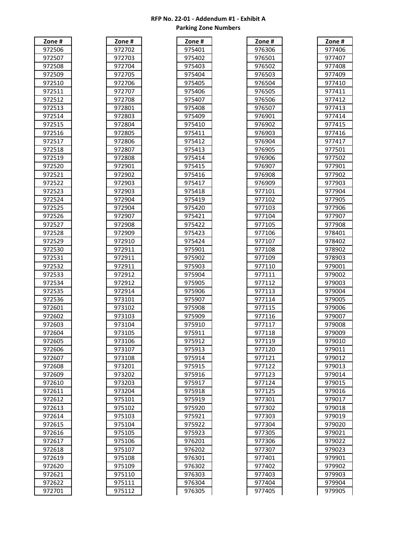| #<br>١                 |
|------------------------|
| ¢<br>)E<br>J           |
| $\mathbf$<br>1         |
|                        |
| ¢<br>ĮŞ<br>ζ           |
| $\mathbf$<br>$\mathbf$ |
| $\mathbf$              |
| I                      |
|                        |
| ¢<br>,                 |
| ¢<br>S<br>l            |
| ¢<br>l<br>4<br>l       |
|                        |
| ¢<br>ı<br>I            |
| ¢<br>l<br>ł            |
| ¢                      |
| ¢<br>ξ                 |
| Ş<br>J                 |
| ¢<br>ı<br>ι<br>J<br>)  |
| ¢<br>ı<br>)<br>ſ<br>)  |
| ¢<br>ı<br>1<br>J       |
|                        |
|                        |
| ξ                      |
| ¢                      |
| ¢<br>ı                 |
|                        |
| ¢<br>ı<br>,<br>ί<br>)  |
| ¢                      |
| ¢<br>۶<br>ξ<br>J       |
| ¢                      |
| €                      |
| O<br>J<br>ĺ<br>)       |
| ¢<br>1                 |
| ¢<br>1<br>Į<br>,       |
|                        |
| ¢<br>ξ                 |
| Ç                      |
| Ç                      |
| ¢                      |
| ί                      |
| ¢                      |
| ¢<br>,                 |
| ¢<br>₹                 |
|                        |
| ¢<br>)4<br>)           |
| ļ<br>,                 |
| 972606                 |
|                        |
| 972607                 |
| 97<br>2608             |
| 2609<br>97:            |
| 97<br>2610             |
|                        |
| 97<br>2611             |
| 97<br>2612             |
| 9.<br>2613             |
| 97<br>2614             |
|                        |
| 97:<br>2615<br>;       |
| 97:<br>2616            |
| 97<br>2617             |
|                        |
| 97<br>2618             |
| .<br>97<br>2619        |
| 97<br>620<br>,         |
| 972621                 |
|                        |
|                        |
| 972622<br>972701       |

| Zone #                 |  |
|------------------------|--|
| 972702                 |  |
| 972703                 |  |
| 972<br>704             |  |
|                        |  |
| 972<br>705             |  |
| 97:<br>2706            |  |
| 2707<br>97             |  |
| 97.<br>2708            |  |
| 972801                 |  |
| 97.<br>2803            |  |
| 972804                 |  |
| 972805                 |  |
|                        |  |
| 972806                 |  |
| 972807                 |  |
| 972808                 |  |
| 972901                 |  |
| 972902                 |  |
| 972903                 |  |
| 972903                 |  |
| 972904                 |  |
|                        |  |
| 972904                 |  |
| 972907                 |  |
| 972908                 |  |
| 972909                 |  |
| $\overline{7}$<br>2910 |  |
| 972911                 |  |
| $\frac{1}{2911}$       |  |
| $\frac{1}{272911}$     |  |
|                        |  |
| 2912<br>97:            |  |
| J.<br>7<br>2912        |  |
| 97<br>2914             |  |
| 97.<br>3101            |  |
| 97.<br>3102            |  |
| 97.<br>3103            |  |
| 973<br>3104            |  |
|                        |  |
| 973105                 |  |
| <u>97</u><br>3106      |  |
| 973107                 |  |
| 973108                 |  |
| 97:<br>3201            |  |
| 973202                 |  |
| 973203                 |  |
| 973204                 |  |
| 975101                 |  |
|                        |  |
| 975102                 |  |
| 975103                 |  |
| 975104                 |  |
| _<br>975105            |  |
| 975106                 |  |
| $\frac{1}{975107}$     |  |
| 975108                 |  |
| 975109                 |  |
|                        |  |
| 975110                 |  |
| 975111                 |  |
| 5112<br>975            |  |

| Zone #                                                 |  |
|--------------------------------------------------------|--|
| 97!<br>401                                             |  |
| 97!<br>402                                             |  |
| $\mathbf$<br>97<br>ı<br>403                            |  |
| Ç<br>J.<br>ı<br>104                                    |  |
| $\mathbf$<br>10!<br>97<br>I                            |  |
| 97<br>106                                              |  |
| 97<br>407                                              |  |
| 97<br>408                                              |  |
| $\overline{\mathbf{c}}$<br>97,<br>409،                 |  |
| 97!<br>10                                              |  |
| $\mathbf{C}$<br>97.<br>11                              |  |
| $\mathbf$<br>Ί<br>97<br>2<br>1                         |  |
| 97<br>I<br>3<br>l.                                     |  |
| 97<br>4                                                |  |
| 97<br>5<br>41،                                         |  |
| 97<br>41،<br>.6                                        |  |
| 97<br>I<br>1                                           |  |
| 97<br>1<br>8<br>4                                      |  |
| 97<br>41،<br>9                                         |  |
| 97<br>:4<br>Γ<br>20                                    |  |
| -<br>97<br>$\frac{1}{4}$<br>ľ<br>21                    |  |
| 97.<br>422ء                                            |  |
| 97!<br>:42<br>3                                        |  |
| 97.<br>424ء                                            |  |
| 97<br>901ء                                             |  |
| ,                                                      |  |
| 97<br>:90                                              |  |
| 97!<br>903<br>I                                        |  |
| $\mathbf$<br>J.<br>$\mathbf$<br>7<br>904<br>$\mathbf$  |  |
| 71<br>)05<br>J.<br>$\mathbf$<br>$\mathbf$              |  |
| יל<br>906                                              |  |
| 97<br>907                                              |  |
| 9.<br>71<br>908                                        |  |
| Ç<br>'l<br>J.<br>$\mathbf$<br>909                      |  |
| $\overline{\mathbf{C}}$<br>ľ<br>),<br>$\mathbf$<br>)10 |  |
| .<br>97!<br>ί<br>911<br>J                              |  |
| $\mathsf{g}$<br>71<br>591<br>,<br>í.                   |  |
| 975913                                                 |  |
| 975<br>5914                                            |  |
| 975<br>5915                                            |  |
| 975<br>5916                                            |  |
| 97<br>5917                                             |  |
| 975<br>5918                                            |  |
| 975919                                                 |  |
| 975920                                                 |  |
| 975921                                                 |  |
| 975922                                                 |  |
| 975923                                                 |  |
| —<br>976201                                            |  |
| 976<br>5202                                            |  |
| 976<br>5301                                            |  |
| 976302                                                 |  |
| 976<br>303                                             |  |
| 976304                                                 |  |
| 976<br>5305                                            |  |

| Zone#  | Zone#  | Zone#  | Zone#  | Zone # |
|--------|--------|--------|--------|--------|
| 972506 | 972702 | 975401 | 976306 | 977406 |
| 972507 | 972703 | 975402 | 976501 | 977407 |
| 972508 | 972704 | 975403 | 976502 | 977408 |
| 972509 | 972705 | 975404 | 976503 | 977409 |
| 972510 | 972706 | 975405 | 976504 | 977410 |
| 972511 | 972707 | 975406 | 976505 | 977411 |
| 972512 | 972708 | 975407 | 976506 | 977412 |
| 972513 | 972801 | 975408 | 976507 | 977413 |
| 972514 | 972803 | 975409 | 976901 | 977414 |
| 972515 | 972804 | 975410 | 976902 | 977415 |
| 972516 | 972805 | 975411 | 976903 | 977416 |
| 972517 | 972806 | 975412 | 976904 | 977417 |
| 972518 | 972807 | 975413 | 976905 | 977501 |
| 972519 | 972808 | 975414 | 976906 | 977502 |
| 972520 | 972901 | 975415 | 976907 | 977901 |
| 972521 | 972902 | 975416 | 976908 | 977902 |
| 972522 | 972903 | 975417 | 976909 | 977903 |
| 972523 | 972903 | 975418 | 977101 | 977904 |
| 972524 | 972904 | 975419 | 977102 | 977905 |
| 972525 | 972904 | 975420 | 977103 | 977906 |
| 972526 | 972907 | 975421 | 977104 | 977907 |
| 972527 | 972908 | 975422 | 977105 | 977908 |
| 972528 | 972909 | 975423 | 977106 | 978401 |
| 972529 | 972910 | 975424 | 977107 | 978402 |
| 972530 | 972911 | 975901 | 977108 | 978902 |
| 972531 | 972911 | 975902 | 977109 | 978903 |
| 972532 | 972911 | 975903 | 977110 | 979001 |
| 972533 | 972912 | 975904 | 977111 | 979002 |
| 972534 | 972912 | 975905 | 977112 | 979003 |
| 972535 | 972914 | 975906 | 977113 | 979004 |
| 972536 | 973101 | 975907 | 977114 | 979005 |
| 972601 | 973102 | 975908 | 977115 | 979006 |
| 972602 | 973103 | 975909 | 977116 | 979007 |
| 972603 | 973104 | 975910 | 977117 | 979008 |
| 972604 | 973105 | 975911 | 977118 | 979009 |
| 972605 | 973106 | 975912 | 977119 | 979010 |
| 972606 | 973107 | 975913 | 977120 | 979011 |
| 972607 | 973108 | 975914 | 977121 | 979012 |
| 972608 | 973201 | 975915 | 977122 | 979013 |
| 972609 | 973202 | 975916 | 977123 | 979014 |
| 972610 | 973203 | 975917 | 977124 | 979015 |
| 972611 | 973204 | 975918 | 977125 | 979016 |
| 972612 | 975101 | 975919 | 977301 | 979017 |
| 972613 | 975102 | 975920 | 977302 | 979018 |
| 972614 | 975103 | 975921 | 977303 | 979019 |
| 972615 | 975104 | 975922 | 977304 | 979020 |
| 972616 | 975105 | 975923 | 977305 | 979021 |
| 972617 | 975106 | 976201 | 977306 | 979022 |
| 972618 | 975107 | 976202 | 977307 | 979023 |
| 972619 | 975108 | 976301 | 977401 | 979901 |
| 972620 | 975109 | 976302 | 977402 | 979902 |
| 972621 | 975110 | 976303 | 977403 | 979903 |
| 972622 | 975111 | 976304 | 977404 | 979904 |
| 972701 | 975112 | 976305 | 977405 | 979905 |